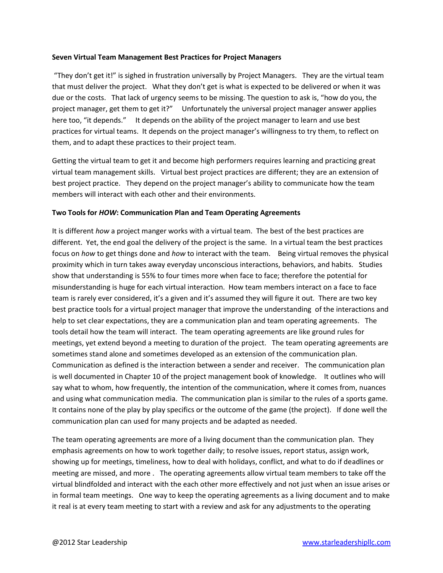#### **Seven Virtual Team Management Best Practices for Project Managers**

"They don't get it!" is sighed in frustration universally by Project Managers. They are the virtual team that must deliver the project. What they don't get is what is expected to be delivered or when it was due or the costs. That lack of urgency seems to be missing. The question to ask is, "how do you, the project manager, get them to get it?" Unfortunately the universal project manager answer applies here too, "it depends." It depends on the ability of the project manager to learn and use best practices for virtual teams. It depends on the project manager's willingness to try them, to reflect on them, and to adapt these practices to their project team.

Getting the virtual team to get it and become high performers requires learning and practicing great virtual team management skills. Virtual best project practices are different; they are an extension of best project practice. They depend on the project manager's ability to communicate how the team members will interact with each other and their environments.

#### **Two Tools for** *HOW***: Communication Plan and Team Operating Agreements**

It is different *how* a project manger works with a virtual team. The best of the best practices are different. Yet, the end goal the delivery of the project is the same. In a virtual team the best practices focus on *how* to get things done and *how* to interact with the team. Being virtual removes the physical proximity which in turn takes away everyday unconscious interactions, behaviors, and habits. Studies show that understanding is 55% to four times more when face to face; therefore the potential for misunderstanding is huge for each virtual interaction. How team members interact on a face to face team is rarely ever considered, it's a given and it's assumed they will figure it out. There are two key best practice tools for a virtual project manager that improve the understanding of the interactions and help to set clear expectations, they are a communication plan and team operating agreements. The tools detail how the team will interact. The team operating agreements are like ground rules for meetings, yet extend beyond a meeting to duration of the project. The team operating agreements are sometimes stand alone and sometimes developed as an extension of the communication plan. Communication as defined is the interaction between a sender and receiver. The communication plan is well documented in Chapter 10 of the project management book of knowledge. It outlines who will say what to whom, how frequently, the intention of the communication, where it comes from, nuances and using what communication media. The communication plan is similar to the rules of a sports game. It contains none of the play by play specifics or the outcome of the game (the project). If done well the communication plan can used for many projects and be adapted as needed.

The team operating agreements are more of a living document than the communication plan. They emphasis agreements on how to work together daily; to resolve issues, report status, assign work, showing up for meetings, timeliness, how to deal with holidays, conflict, and what to do if deadlines or meeting are missed, and more . The operating agreements allow virtual team members to take off the virtual blindfolded and interact with the each other more effectively and not just when an issue arises or in formal team meetings. One way to keep the operating agreements as a living document and to make it real is at every team meeting to start with a review and ask for any adjustments to the operating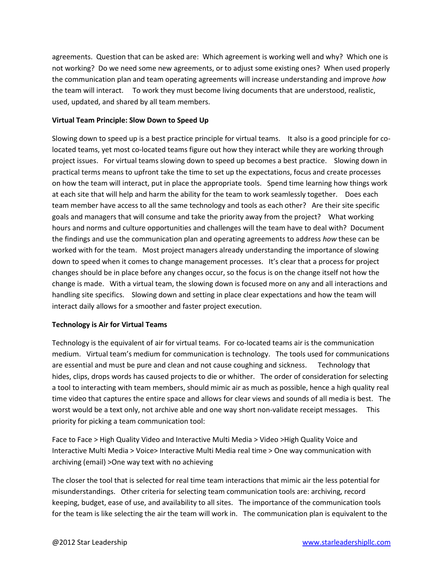agreements. Question that can be asked are: Which agreement is working well and why? Which one is not working? Do we need some new agreements, or to adjust some existing ones? When used properly the communication plan and team operating agreements will increase understanding and improve *how* the team will interact. To work they must become living documents that are understood, realistic, used, updated, and shared by all team members.

### **Virtual Team Principle: Slow Down to Speed Up**

Slowing down to speed up is a best practice principle for virtual teams. It also is a good principle for colocated teams, yet most co-located teams figure out how they interact while they are working through project issues. For virtual teams slowing down to speed up becomes a best practice. Slowing down in practical terms means to upfront take the time to set up the expectations, focus and create processes on how the team will interact, put in place the appropriate tools. Spend time learning how things work at each site that will help and harm the ability for the team to work seamlessly together. Does each team member have access to all the same technology and tools as each other? Are their site specific goals and managers that will consume and take the priority away from the project? What working hours and norms and culture opportunities and challenges will the team have to deal with? Document the findings and use the communication plan and operating agreements to address *how* these can be worked with for the team. Most project managers already understanding the importance of slowing down to speed when it comes to change management processes. It's clear that a process for project changes should be in place before any changes occur, so the focus is on the change itself not how the change is made. With a virtual team, the slowing down is focused more on any and all interactions and handling site specifics. Slowing down and setting in place clear expectations and how the team will interact daily allows for a smoother and faster project execution.

# **Technology is Air for Virtual Teams**

Technology is the equivalent of air for virtual teams. For co-located teams air is the communication medium. Virtual team's medium for communication is technology. The tools used for communications are essential and must be pure and clean and not cause coughing and sickness. Technology that hides, clips, drops words has caused projects to die or whither. The order of consideration for selecting a tool to interacting with team members, should mimic air as much as possible, hence a high quality real time video that captures the entire space and allows for clear views and sounds of all media is best. The worst would be a text only, not archive able and one way short non-validate receipt messages. This priority for picking a team communication tool:

Face to Face > High Quality Video and Interactive Multi Media > Video >High Quality Voice and Interactive Multi Media > Voice> Interactive Multi Media real time > One way communication with archiving (email) >One way text with no achieving

The closer the tool that is selected for real time team interactions that mimic air the less potential for misunderstandings. Other criteria for selecting team communication tools are: archiving, record keeping, budget, ease of use, and availability to all sites. The importance of the communication tools for the team is like selecting the air the team will work in. The communication plan is equivalent to the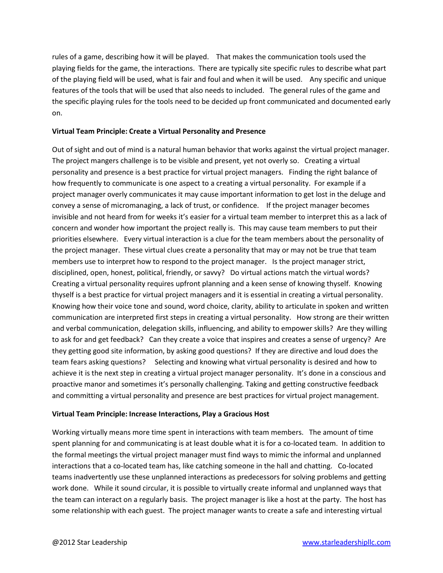rules of a game, describing how it will be played. That makes the communication tools used the playing fields for the game, the interactions. There are typically site specific rules to describe what part of the playing field will be used, what is fair and foul and when it will be used. Any specific and unique features of the tools that will be used that also needs to included. The general rules of the game and the specific playing rules for the tools need to be decided up front communicated and documented early on.

#### **Virtual Team Principle: Create a Virtual Personality and Presence**

Out of sight and out of mind is a natural human behavior that works against the virtual project manager. The project mangers challenge is to be visible and present, yet not overly so. Creating a virtual personality and presence is a best practice for virtual project managers. Finding the right balance of how frequently to communicate is one aspect to a creating a virtual personality. For example if a project manager overly communicates it may cause important information to get lost in the deluge and convey a sense of micromanaging, a lack of trust, or confidence. If the project manager becomes invisible and not heard from for weeks it's easier for a virtual team member to interpret this as a lack of concern and wonder how important the project really is. This may cause team members to put their priorities elsewhere. Every virtual interaction is a clue for the team members about the personality of the project manager. These virtual clues create a personality that may or may not be true that team members use to interpret how to respond to the project manager. Is the project manager strict, disciplined, open, honest, political, friendly, or savvy? Do virtual actions match the virtual words? Creating a virtual personality requires upfront planning and a keen sense of knowing thyself. Knowing thyself is a best practice for virtual project managers and it is essential in creating a virtual personality. Knowing how their voice tone and sound, word choice, clarity, ability to articulate in spoken and written communication are interpreted first steps in creating a virtual personality. How strong are their written and verbal communication, delegation skills, influencing, and ability to empower skills? Are they willing to ask for and get feedback? Can they create a voice that inspires and creates a sense of urgency? Are they getting good site information, by asking good questions? If they are directive and loud does the team fears asking questions? Selecting and knowing what virtual personality is desired and how to achieve it is the next step in creating a virtual project manager personality. It's done in a conscious and proactive manor and sometimes it's personally challenging. Taking and getting constructive feedback and committing a virtual personality and presence are best practices for virtual project management.

#### **Virtual Team Principle: Increase Interactions, Play a Gracious Host**

Working virtually means more time spent in interactions with team members. The amount of time spent planning for and communicating is at least double what it is for a co-located team. In addition to the formal meetings the virtual project manager must find ways to mimic the informal and unplanned interactions that a co-located team has, like catching someone in the hall and chatting. Co-located teams inadvertently use these unplanned interactions as predecessors for solving problems and getting work done. While it sound circular, it is possible to virtually create informal and unplanned ways that the team can interact on a regularly basis. The project manager is like a host at the party. The host has some relationship with each guest. The project manager wants to create a safe and interesting virtual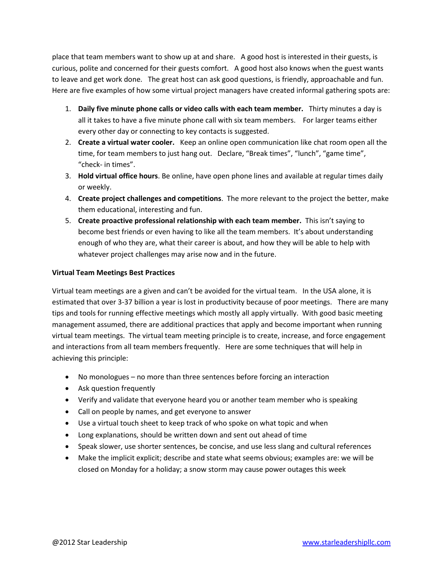place that team members want to show up at and share. A good host is interested in their guests, is curious, polite and concerned for their guests comfort. A good host also knows when the guest wants to leave and get work done. The great host can ask good questions, is friendly, approachable and fun. Here are five examples of how some virtual project managers have created informal gathering spots are:

- 1. **Daily five minute phone calls or video calls with each team member.** Thirty minutes a day is all it takes to have a five minute phone call with six team members. For larger teams either every other day or connecting to key contacts is suggested.
- 2. **Create a virtual water cooler.** Keep an online open communication like chat room open all the time, for team members to just hang out. Declare, "Break times", "lunch", "game time", "check- in times".
- 3. **Hold virtual office hours**. Be online, have open phone lines and available at regular times daily or weekly.
- 4. **Create project challenges and competitions**. The more relevant to the project the better, make them educational, interesting and fun.
- 5. **Create proactive professional relationship with each team member.** This isn't saying to become best friends or even having to like all the team members. It's about understanding enough of who they are, what their career is about, and how they will be able to help with whatever project challenges may arise now and in the future.

## **Virtual Team Meetings Best Practices**

Virtual team meetings are a given and can't be avoided for the virtual team. In the USA alone, it is estimated that over 3-37 billion a year is lost in productivity because of poor meetings. There are many tips and tools for running effective meetings which mostly all apply virtually. With good basic meeting management assumed, there are additional practices that apply and become important when running virtual team meetings. The virtual team meeting principle is to create, increase, and force engagement and interactions from all team members frequently. Here are some techniques that will help in achieving this principle:

- No monologues no more than three sentences before forcing an interaction
- Ask question frequently
- Verify and validate that everyone heard you or another team member who is speaking
- Call on people by names, and get everyone to answer
- Use a virtual touch sheet to keep track of who spoke on what topic and when
- Long explanations, should be written down and sent out ahead of time
- Speak slower, use shorter sentences, be concise, and use less slang and cultural references
- Make the implicit explicit; describe and state what seems obvious; examples are: we will be closed on Monday for a holiday; a snow storm may cause power outages this week